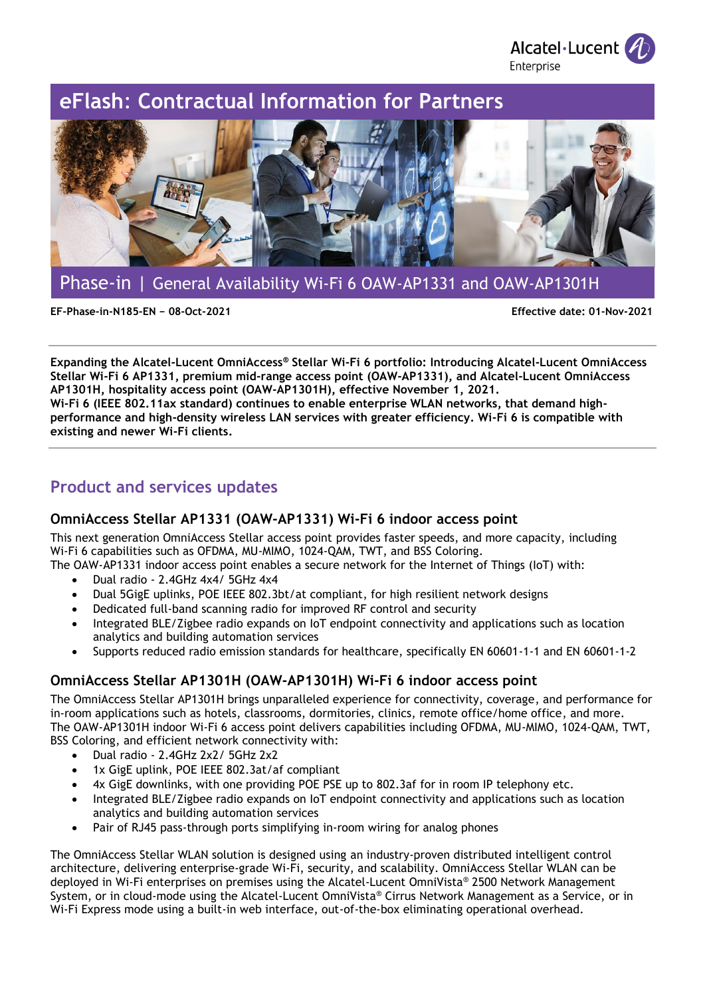

# **eFlash**: **Contractual Information for Partners**



Phase-in | General Availability Wi-Fi 6 OAW-AP1331 and OAW-AP1301H

**EF-Phase-in-N185-EN − 08-Oct-2021 Effective date: 01-Nov-2021**

**Expanding the Alcatel-Lucent OmniAccess® Stellar Wi-Fi 6 portfolio: Introducing Alcatel-Lucent OmniAccess Stellar Wi-Fi 6 AP1331, premium mid-range access point (OAW-AP1331), and Alcatel-Lucent OmniAccess AP1301H, hospitality access point (OAW-AP1301H), effective November 1, 2021. Wi-Fi 6 (IEEE 802.11ax standard) continues to enable enterprise WLAN networks, that demand highperformance and high-density wireless LAN services with greater efficiency. Wi-Fi 6 is compatible with existing and newer Wi-Fi clients.**

## **Product and services updates**

### **OmniAccess Stellar AP1331 (OAW-AP1331) Wi-Fi 6 indoor access point**

This next generation OmniAccess Stellar access point provides faster speeds, and more capacity, including Wi-Fi 6 capabilities such as OFDMA, MU-MIMO, 1024-QAM, TWT, and BSS Coloring.

The OAW-AP1331 indoor access point enables a secure network for the Internet of Things (IoT) with:

- Dual radio 2.4GHz 4x4/ 5GHz 4x4
- Dual 5GigE uplinks, POE IEEE 802.3bt/at compliant, for high resilient network designs
- Dedicated full-band scanning radio for improved RF control and security
- Integrated BLE/Zigbee radio expands on IoT endpoint connectivity and applications such as location analytics and building automation services
- Supports reduced radio emission standards for healthcare, specifically EN 60601-1-1 and EN 60601-1-2

### **OmniAccess Stellar AP1301H (OAW-AP1301H) Wi-Fi 6 indoor access point**

The OmniAccess Stellar AP1301H brings unparalleled experience for connectivity, coverage, and performance for in-room applications such as hotels, classrooms, dormitories, clinics, remote office/home office, and more. The OAW-AP1301H indoor Wi-Fi 6 access point delivers capabilities including OFDMA, MU-MIMO, 1024-QAM, TWT, BSS Coloring, and efficient network connectivity with:

- Dual radio 2.4GHz 2x2/ 5GHz 2x2
- 1x GigE uplink, POE IEEE 802.3at/af compliant
- 4x GigE downlinks, with one providing POE PSE up to 802.3af for in room IP telephony etc.
- Integrated BLE/Zigbee radio expands on IoT endpoint connectivity and applications such as location analytics and building automation services
- Pair of RJ45 pass-through ports simplifying in-room wiring for analog phones

The OmniAccess Stellar WLAN solution is designed using an industry-proven distributed intelligent control architecture, delivering enterprise-grade Wi-Fi, security, and scalability. OmniAccess Stellar WLAN can be deployed in Wi-Fi enterprises on premises using the Alcatel-Lucent OmniVista® 2500 Network Management System, or in cloud-mode using the Alcatel-Lucent OmniVista® Cirrus Network Management as a Service, or in Wi-Fi Express mode using a built-in web interface, out-of-the-box eliminating operational overhead.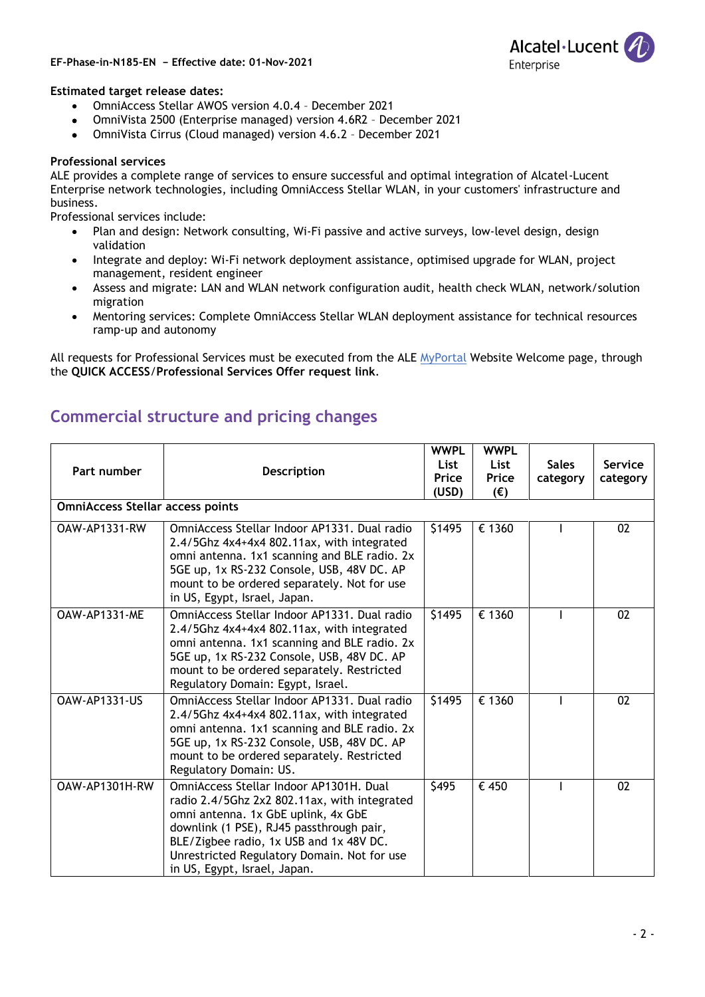#### **EF-Phase-in-N185-EN − Effective date: 01-Nov-2021**



#### **Estimated target release dates:**

- OmniAccess Stellar AWOS version 4.0.4 December 2021
- OmniVista 2500 (Enterprise managed) version 4.6R2 December 2021
- OmniVista Cirrus (Cloud managed) version 4.6.2 December 2021

#### **Professional services**

ALE provides a complete range of services to ensure successful and optimal integration of Alcatel-Lucent Enterprise network technologies, including OmniAccess Stellar WLAN, in your customers' infrastructure and business.

Professional services include:

- Plan and design: Network consulting, Wi-Fi passive and active surveys, low-level design, design validation
- Integrate and deploy: Wi-Fi network deployment assistance, optimised upgrade for WLAN, project management, resident engineer
- Assess and migrate: LAN and WLAN network configuration audit, health check WLAN, network/solution migration
- Mentoring services: Complete OmniAccess Stellar WLAN deployment assistance for technical resources ramp-up and autonomy

All requests for Professional Services must be executed from the ALE [MyPortal](https://myportal.al-enterprise.com/) Website Welcome page, through the **QUICK ACCESS**/**Professional Services Offer request link**.

| Part number                             | <b>Description</b>                                                                                                                                                                                                                                                                                   | <b>WWPL</b> | <b>WWPL</b>  |              |          |  |
|-----------------------------------------|------------------------------------------------------------------------------------------------------------------------------------------------------------------------------------------------------------------------------------------------------------------------------------------------------|-------------|--------------|--------------|----------|--|
|                                         |                                                                                                                                                                                                                                                                                                      | List        | List         | <b>Sales</b> | Service  |  |
|                                         |                                                                                                                                                                                                                                                                                                      | Price       | Price        | category     | category |  |
|                                         |                                                                                                                                                                                                                                                                                                      | (USD)       | $(\epsilon)$ |              |          |  |
| <b>OmniAccess Stellar access points</b> |                                                                                                                                                                                                                                                                                                      |             |              |              |          |  |
| OAW-AP1331-RW                           | OmniAccess Stellar Indoor AP1331, Dual radio<br>2.4/5Ghz 4x4+4x4 802.11ax, with integrated<br>omni antenna. 1x1 scanning and BLE radio. 2x<br>5GE up, 1x RS-232 Console, USB, 48V DC. AP<br>mount to be ordered separately. Not for use<br>in US, Egypt, Israel, Japan.                              | \$1495      | € 1360       |              | 02       |  |
| OAW-AP1331-ME                           | OmniAccess Stellar Indoor AP1331, Dual radio<br>2.4/5Ghz 4x4+4x4 802.11ax, with integrated<br>omni antenna. 1x1 scanning and BLE radio. 2x<br>5GE up, 1x RS-232 Console, USB, 48V DC. AP<br>mount to be ordered separately. Restricted<br>Regulatory Domain: Egypt, Israel.                          | \$1495      | € 1360       |              | 02       |  |
| <b>OAW-AP1331-US</b>                    | OmniAccess Stellar Indoor AP1331. Dual radio<br>2.4/5Ghz 4x4+4x4 802.11ax, with integrated<br>omni antenna. 1x1 scanning and BLE radio. 2x<br>5GE up, 1x RS-232 Console, USB, 48V DC. AP<br>mount to be ordered separately. Restricted<br>Regulatory Domain: US.                                     | \$1495      | € 1360       |              | 02       |  |
| OAW-AP1301H-RW                          | OmniAccess Stellar Indoor AP1301H, Dual<br>radio 2.4/5Ghz 2x2 802.11ax, with integrated<br>omni antenna. 1x GbE uplink, 4x GbE<br>downlink (1 PSE), RJ45 passthrough pair,<br>BLE/Zigbee radio, 1x USB and 1x 48V DC.<br>Unrestricted Regulatory Domain. Not for use<br>in US, Egypt, Israel, Japan. | \$495       | € 450        |              | 02       |  |

### **Commercial structure and pricing changes**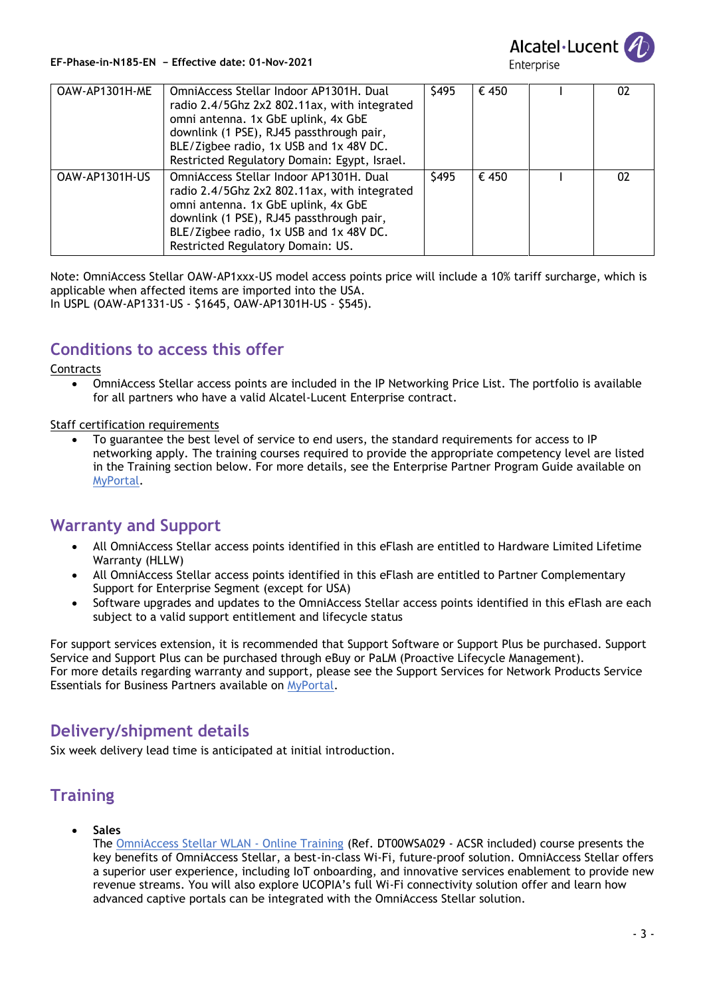

**EF-Phase-in-N185-EN − Effective date: 01-Nov-2021**

Enterprise

| OAW-AP1301H-ME | OmniAccess Stellar Indoor AP1301H. Dual<br>radio 2.4/5Ghz 2x2 802.11ax, with integrated<br>omni antenna. 1x GbE uplink, 4x GbE<br>downlink (1 PSE), RJ45 passthrough pair,<br>BLE/Zigbee radio, 1x USB and 1x 48V DC.<br>Restricted Regulatory Domain: Egypt, Israel. | \$495 | € 450 | 02 |
|----------------|-----------------------------------------------------------------------------------------------------------------------------------------------------------------------------------------------------------------------------------------------------------------------|-------|-------|----|
| OAW-AP1301H-US | OmniAccess Stellar Indoor AP1301H, Dual<br>radio 2.4/5Ghz 2x2 802.11ax, with integrated<br>omni antenna. 1x GbE uplink, 4x GbE<br>downlink (1 PSE), RJ45 passthrough pair,<br>BLE/Zigbee radio, 1x USB and 1x 48V DC.<br>Restricted Regulatory Domain: US.            | \$495 | € 450 | 02 |

Note: OmniAccess Stellar OAW-AP1xxx-US model access points price will include a 10% tariff surcharge, which is applicable when affected items are imported into the USA. In USPL (OAW-AP1331-US - \$1645, OAW-AP1301H-US - \$545).

### **Conditions to access this offer**

**Contracts** 

• OmniAccess Stellar access points are included in the IP Networking Price List. The portfolio is available for all partners who have a valid Alcatel-Lucent Enterprise contract.

Staff certification requirements

• To guarantee the best level of service to end users, the standard requirements for access to IP networking apply. The training courses required to provide the appropriate competency level are listed in the Training section below. For more details, see the Enterprise Partner Program Guide available on [MyPortal.](https://myportal.al-enterprise.com/)

## **Warranty and Support**

- All OmniAccess Stellar access points identified in this eFlash are entitled to Hardware Limited Lifetime Warranty (HLLW)
- All OmniAccess Stellar access points identified in this eFlash are entitled to Partner Complementary Support for Enterprise Segment (except for USA)
- Software upgrades and updates to the OmniAccess Stellar access points identified in this eFlash are each subject to a valid support entitlement and lifecycle status

For support services extension, it is recommended that Support Software or Support Plus be purchased. Support Service and Support Plus can be purchased through eBuy or PaLM (Proactive Lifecycle Management). For more details regarding warranty and support, please see the Support Services for Network Products Service Essentials for Business Partners available on [MyPortal.](https://myportal.al-enterprise.com/)

### **Delivery/shipment details**

Six week delivery lead time is anticipated at initial introduction.

# **Training**

• **Sales** 

The [OmniAccess Stellar](https://kh.education.al-enterprise.com/external?RelayState=GlobalSearch%2Fsearch.aspx%3Fs%3D1%26q%3DDT00WSA029) WLAN - Online Training (Ref. DT00WSA029 - ACSR included) course presents the key benefits of OmniAccess Stellar, a best-in-class Wi-Fi, future-proof solution. OmniAccess Stellar offers a superior user experience, including IoT onboarding, and innovative services enablement to provide new revenue streams. You will also explore UCOPIA's full Wi-Fi connectivity solution offer and learn how advanced captive portals can be integrated with the OmniAccess Stellar solution.